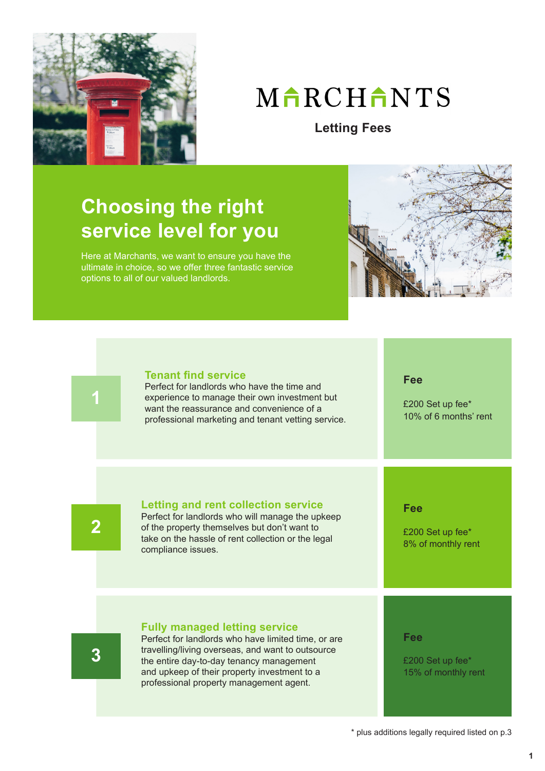

# MARCHANTS

**Letting Fees**

### **Choosing the right service level for you**

Here at Marchants, we want to ensure you have the ultimate in choice, so we offer three fantastic service options to all of our valued landlords.





### **Tenant find service**

Perfect for landlords who have the time and experience to manage their own investment but want the reassurance and convenience of a professional marketing and tenant vetting service. **Fee**

£200 Set up fee\* 10% of 6 months' rent

**2**

### **Letting and rent collection service**

Perfect for landlords who will manage the upkeep of the property themselves but don't want to take on the hassle of rent collection or the legal compliance issues.

**Fee**

£200 Set up fee\* 8% of monthly rent

### **Fully managed letting service**

**3**

Perfect for landlords who have limited time, or are travelling/living overseas, and want to outsource the entire day-to-day tenancy management and upkeep of their property investment to a professional property management agent.

**Fee**

£200 Set up fee\* 15% of monthly rent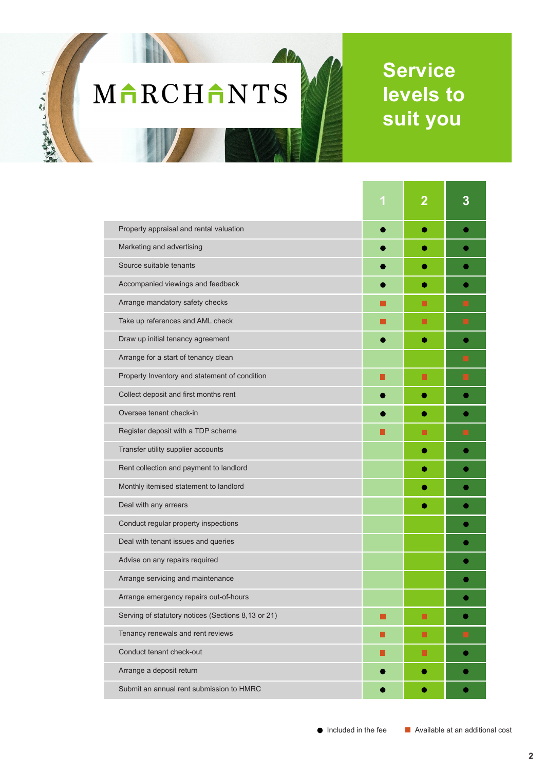# MARCHANTS

大学生の アルスレー

## **Service levels to suit you**

|                                                    |    | $\overline{\mathbf{2}}$ |  |
|----------------------------------------------------|----|-------------------------|--|
| Property appraisal and rental valuation            |    |                         |  |
| Marketing and advertising                          |    |                         |  |
| Source suitable tenants                            |    |                         |  |
| Accompanied viewings and feedback                  |    |                         |  |
| Arrange mandatory safety checks                    |    | ш                       |  |
| Take up references and AML check                   | ×. | П                       |  |
| Draw up initial tenancy agreement                  |    |                         |  |
| Arrange for a start of tenancy clean               |    |                         |  |
| Property Inventory and statement of condition      | ×  | П                       |  |
| Collect deposit and first months rent              |    |                         |  |
| Oversee tenant check-in                            |    |                         |  |
| Register deposit with a TDP scheme                 |    | П                       |  |
| Transfer utility supplier accounts                 |    | G                       |  |
| Rent collection and payment to landlord            |    |                         |  |
| Monthly itemised statement to landlord             |    |                         |  |
| Deal with any arrears                              |    |                         |  |
| Conduct regular property inspections               |    |                         |  |
| Deal with tenant issues and queries                |    |                         |  |
| Advise on any repairs required                     |    |                         |  |
| Arrange servicing and maintenance                  |    |                         |  |
| Arrange emergency repairs out-of-hours             |    |                         |  |
| Serving of statutory notices (Sections 8,13 or 21) |    | ш                       |  |
| Tenancy renewals and rent reviews                  | H  | п                       |  |
| Conduct tenant check-out                           |    | п                       |  |
| Arrange a deposit return                           |    |                         |  |
| Submit an annual rent submission to HMRC           |    | O                       |  |

 $\bigcirc$